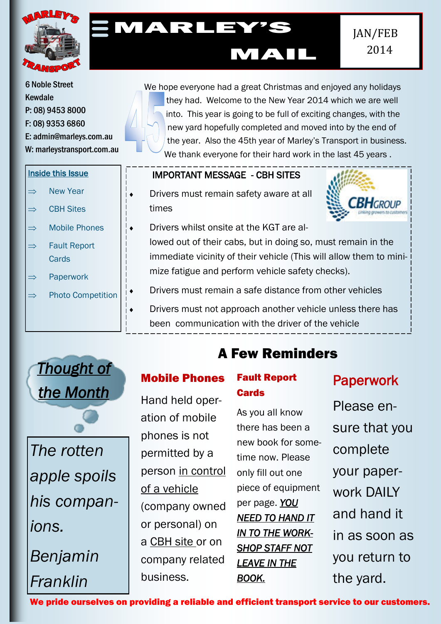

# MARLEY'S

6 Noble Street Kewdale P: 08) 9453 8000 F: 08) 9353 6860 E: admin@marleys.com.au W: marleystransport.com.au

### Inside this Issue

- $\Rightarrow$  New Year
- $\Rightarrow$  CBH Sites
- $\Rightarrow$  Mobile Phones
- $\Rightarrow$  Fault Report **Cards**
- $\Rightarrow$  Paperwork
- $\Rightarrow$  Photo Competition

We hope everyone had a great Christmas and enjoyed any holidays they had. Welcome to the New Year 2014 which we are well into. This year is going to be full of exciting changes, with the new yard hopefully completed and moved into by the end of the year. Also the 45th year of Marley's Transport in business. We thank everyone for their hard work in the last 45 years .

MAIL

## IMPORTANT MESSAGE - CBH SITES

 Drivers must remain safety aware at all times



- Drivers whilst onsite at the KGT are allowed out of their cabs, but in doing so, must remain in the immediate vicinity of their vehicle (This will allow them to minimize fatigue and perform vehicle safety checks).
	- Drivers must remain a safe distance from other vehicles
	- Drivers must not approach another vehicle unless there has
		- been communication with the driver of the vehicle



*The rotten apple spoils his companions.*

*Benjamin Franklin*

## A Few Reminders

## Mobile Phones

Hand held operation of mobile phones is not permitted by a person in control of a vehicle (company owned or personal) on a CBH site or on company related business.

## Fault Report **Cards**

As you all know there has been a new book for sometime now. Please only fill out one piece of equipment per page. *YOU NEED TO HAND IT IN TO THE WORK-SHOP STAFF NOT LEAVE IN THE BOOK.* 

## Paperwork

Please ensure that you complete your paperwork DAILY and hand it in as soon as you return to the yard.

We pride ourselves on providing a reliable and efficient transport service to our customers.